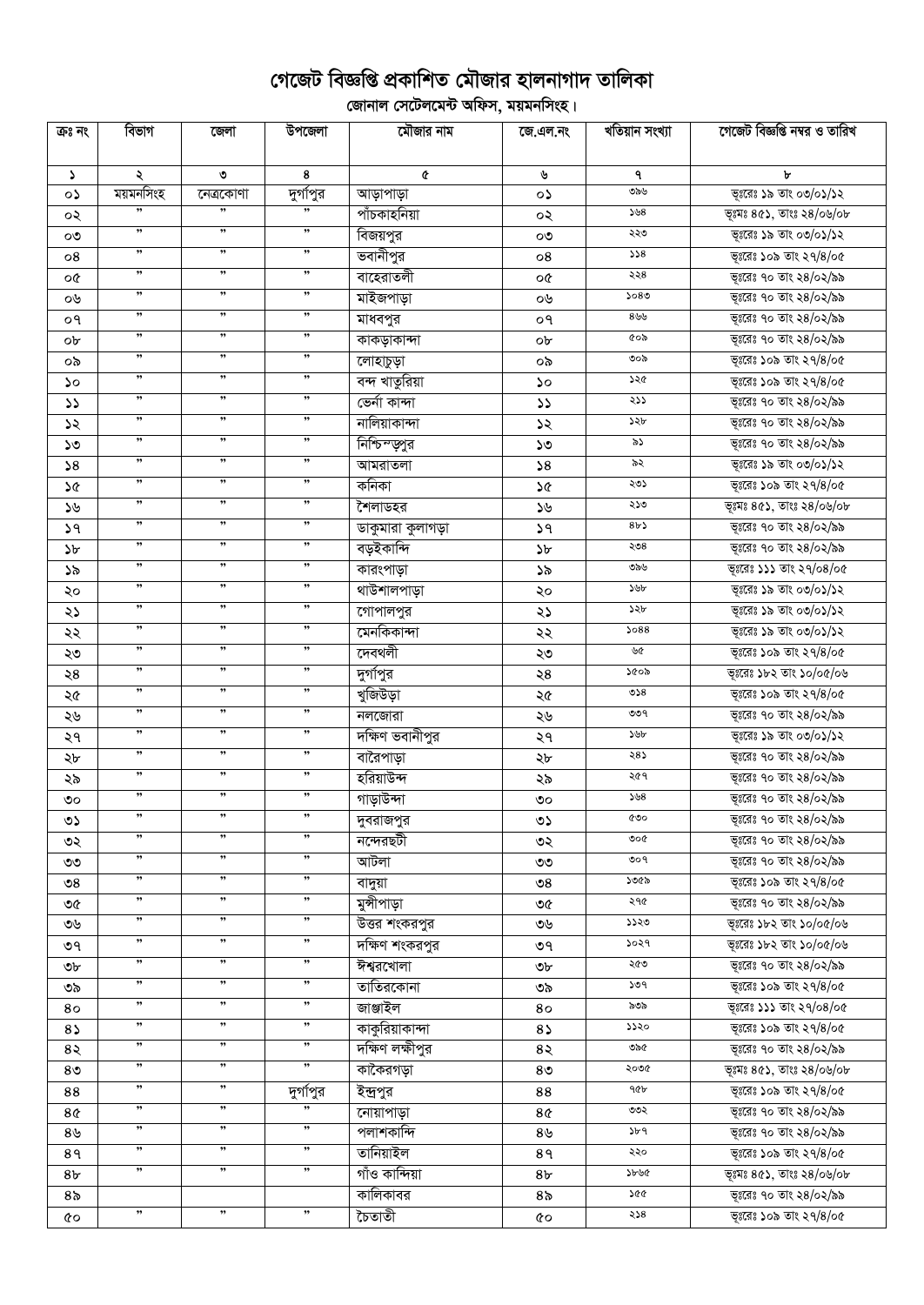## গেজেট বিজ্ঞপ্তি প্রকাশিত মৌজার হালনাগাদ তালিকা

ূলিকা<br>বিদ্যালয় সেটেলমেন্ট অফিস, ময়মনসিংহ।

| ক্ৰঃ নং        | বিভাগ                | জেলা      | উপজেলা               | মৌজার নাম                              | জে.এল.নং              | খতিয়ান সংখ্যা | গেজেট বিজ্ঞপ্তি নম্বর ও তারিখ                    |
|----------------|----------------------|-----------|----------------------|----------------------------------------|-----------------------|----------------|--------------------------------------------------|
| J.             | ২                    | ৩         | 8                    | ¢                                      | ৬                     | ٩              | ৮                                                |
| ০১             | ময়মনসিংহ            | নেত্ৰকোণা | দুর্গাপুর            | আড়াপাড়া                              | ০১                    | ৩৯৬            | ভূঃরেঃ ১৯ তাং ০৩/০১/১২                           |
| ০২             |                      |           |                      | পাঁচকাহনিয়া                           | ০২                    | ১৬ $8$         | ভূঃমঃ ৪৫১, তাংঃ ২৪/০৬/০৮                         |
| ೲ              | ,,                   | ,         | , ,                  | বিজয়পুর                               | ೲ                     | ২২৩            | ভূঃরেঃ ১৯ তাং ০৩/০১/১২                           |
| 08             | $, \,$               | $, \,$    | ,                    | ভবানীপুর                               | 08                    | 558            | ভূঃরেঃ ১০৯ তাং ২৭/৪/০৫                           |
| o¢             | ,,                   | ,         | $, \,$               | বাহেরাতলী                              | o¢                    | ২২৪            | ভূঃরেঃ ৭০ তাং ২৪/০২/৯৯                           |
| ০৬             | ,,                   | , ,       | $, \,$               | মাইজপাড়া                              | ০৬                    | 5080           | ভূঃরেঃ ৭০ তাং ২৪/০২/৯৯                           |
| ०१             | $, \,$               | , ,       | $, \,$               |                                        | ०१                    | 899            | ভূঃরেঃ ৭০ তাং ২৪/০২/৯৯                           |
|                | $, \,$               | $, \,$    | $, \,$               | মাধবপুর<br>কাকড়াকান্দা                |                       | ৫০৯            | ভূঃরেঃ ৭০ তাং ২৪/০২/৯৯                           |
| ob             | $\pmb{\mathfrak{y}}$ | , ,       | $, \,$               |                                        | ob                    | ৩০৯            | ভূঃরেঃ ১০৯ তাং ২৭/৪/০৫                           |
| ০৯             | $, \,$               | , ,       | $, \,$               | লোহাচুড়া                              | ০৯                    | ১২৫            | ভূঃরেঃ ১০৯ তাং ২৭/৪/০৫                           |
| ১০             | $, \,$               | , ,       | $\pmb{\mathfrak{y}}$ | <u>বন্দ</u> খাতুরিয়া<br>ভেৰ্না কান্দা | ১০                    | ২১১            | ভূঃরেঃ ৭০ তাং ২৪/০২/৯৯                           |
| $\mathcal{L}$  | ,,                   | ,         | ,,                   | নালিয়াকান্দা                          | $\mathcal{L}$         | ১২৮            |                                                  |
| ১২             | ,,                   | ,,        | ,,                   |                                        | ১২                    | ৯১             | ভূঃরেঃ ৭০ তাং ২৪/০২/৯৯                           |
| ১৩             | ,,                   | ,         | ,,                   | নিশ্চিম্জুর                            | ১৩                    | ৯২             | ভূঃরেঃ ৭০ তাং ২৪/০২/৯৯<br>ভূঃরেঃ ১৯ তাং ০৩/০১/১২ |
| 58             | $, \,$               | , ,       | $\pmb{\mathfrak{y}}$ | আমরাতলা                                | 58                    | ২৩১            |                                                  |
| ১৫             | $, \,$               | ,,        | $, \,$               | কনিকা                                  | ১৫                    |                | ভূঃরেঃ ১০৯ তাং ২৭/৪/০৫                           |
| ১৬             | $, \,$               | ,,        | $, \,$               | শৈলাডহর                                | ১৬                    | ২১৩<br>8b      | ভূঃমঃ ৪৫১, তাংঃ ২৪/০৬/০৮                         |
| ১৭             | $\pmb{\mathfrak{y}}$ | ,,        | ,,                   | ডাকুমারা কুলাগড়া                      | 39                    |                | ভূঃরেঃ ৭০ তাং ২৪/০২/৯৯                           |
| ১৮             | $, \,$               | , ,       | $\pmb{\mathfrak{y}}$ | বড়ইকান্দি                             | $\mathcal{P}$         | ২৩৪            | ভূঃরেঃ ৭০ তাং ২৪/০২/৯৯                           |
| ১৯             | $, \,$               | ,,        | $\pmb{\mathfrak{y}}$ | কারংপাড়া                              | ১৯                    | ৩৯৬            | ভূঃরেঃ ১১১ তাং ২৭/০৪/০৫                          |
| ২০             | ,,                   | ,         | ,,                   | থাউশালপাড়া                            | ২০                    | ১৬৮            | ভূঃরেঃ ১৯ তাং ০৩/০১/১২                           |
| ২১             | ,,                   | ,,        | $\pmb{\mathfrak{y}}$ | $\overline{\mathfrak{c}}$ গাপালপুর     | ২১                    | ১২৮            | ভূঃরেঃ ১৯ তাং ০৩/০১/১২                           |
| ২২             | ,,                   | ,         | ,,                   | মেনকিকান্দা                            | ২২                    | 5088           | ভূঃরেঃ ১৯ তাং ০৩/০১/১২                           |
| ২৩             | $\pmb{\mathfrak{y}}$ | $, \,$    | $, \,$               | দেবথলী                                 | ২৩                    | ৬৫             | ভূঃরেঃ ১০৯ তাং ২৭/৪/০৫                           |
| ২৪             | ,,                   | ,         | ,,                   | দুর্গাপুর                              | ২8                    | ১৫০৯           | ভূঃরেঃ ১৮২ তাং ১০/০৫/০৬                          |
| ২৫             |                      |           |                      | খুজিউড়া                               | ২৫                    | 0.8            | ভূঃরেঃ ১০৯ তাং ২৭/৪/০৫                           |
| ২৬             | ,,                   | ,,        | ,,                   | নলজোরা                                 | ২৬                    | ৩৩৭            | ভূঃরেঃ ৭০ তাং ২৪/০২/৯৯                           |
| ২৭             | $\pmb{\mathfrak{y}}$ | ,,        | $, \,$               | দক্ষিণ ভবানীপুর                        | ২৭                    | ১৬৮            | ভূঃরেঃ ১৯ তাং ০৩/০১/১২                           |
| ২৮             | $\pmb{\mathfrak{y}}$ | , ,       | $, \,$               | বারৈপাড়া                              | ২৮                    | ২৪১            | ভূঃরেঃ ৭০ তাং ২৪/০২/৯৯                           |
| ২৯             | $, \,$               | , ,       | $, \,$               | হরিয়াউন্দ                             | ২৯                    | ২৫৭            | ভূঃরেঃ ৭০ তাং ২৪/০২/৯৯                           |
| ৩০             | ,,                   | ,,        | $, \,$               | গাড়াউন্দা                             | ಄                     | 508            | ভূঃরেঃ ৭০ তাং ২৪/০২/৯৯                           |
| ৩১             | ,,                   | ,,        | ,,                   | দুবরাজপুর                              | ৩১                    | ৫৩০            | ভূঃরেঃ ৭০ তাং ২৪/০২/৯৯                           |
| ৩২             | ,,                   | , ,       | ,                    | নন্দেরছটী                              | ৩২                    | ৩০৫            | ভূঃরেঃ ৭০ তাং ২৪/০২/৯৯                           |
| ৩৩             | ,,                   | ,         | ,,                   | আটলা                                   | ৩৩                    | 909            | ভূঃরেঃ ৭০ তাং ২৪/০২/৯৯                           |
| ల $8\,$        | ,,                   | "         | ,,                   | বাদুয়া                                | $\mathcal{S}^{\circ}$ | ১৩৫৯           | ভূঃরেঃ ১০৯ তাং ২৭/৪/০৫                           |
| ৩৫             | ,,                   | ,,        | ,,                   | মুন্সীপাড়া                            | ৩৫                    | ২৭৫            | ভূঃরেঃ ৭০ তাং ২৪/০২/৯৯                           |
| ৩৬             | ,,                   | ,,        | ,,                   | উত্তর শংকরপুর                          | ৩৬                    | ১১২৩           | ভূঃরেঃ ১৮২ তাং ১০/০৫/০৬                          |
| ৩৭             | ,,                   | ,,        | ,,                   | দক্ষিণ শংকরপুর                         | ৩৭                    | ১০২৭           | ভূঃরেঃ ১৮২ তাং ১০/০৫/০৬                          |
| ৩৮             | $\pmb{\mathfrak{y}}$ | ,,        | ,,                   | ঈশ্বরখোলা                              | ৩৮                    | ২৫৩            | ভূঃরেঃ ৭০ তাং ২৪/০২/৯৯                           |
| ৩৯             | ,,                   | ,,        | ,,                   | তাতিরকোনা                              | ৩৯                    | ১৩৭            | ভূঃরেঃ ১০৯ তাং ২৭/৪/০৫                           |
| 80             | ,,                   | ,,        | ,,                   | জাঞ্জাইল                               | 80                    | ৯৩৯            | ভূঃরেঃ ১১১ তাং ২৭/০৪/০৫                          |
| 85             | ,,                   | ,,        | ,,                   | কাকুরিয়াকান্দা                        | $8\sqrt{ }$           | ১১২০           | ভূঃরেঃ ১০৯ তাং ২৭/৪/০৫                           |
| 8२             | ,,                   | , ,       | ,,                   | দক্ষিণ লক্ষীপুর                        | 8२                    | ৩৯৫            | ভূঃরেঃ ৭০ তাং ২৪/০২/৯৯                           |
| 8 <sub>0</sub> | ,,                   | , ,       | ,,                   | কাকৈরগড়া                              | 8 <sub>0</sub>        | ২০৩৫           | ভূগ্মঃ ৪৫১, তাংঃ ২৪/০৬/০৮                        |
| 88             | $, \,$               | , ,       | দুর্গাপুর            | ইন্দ্ৰপুর                              | 88                    | ዓ৫৮            | ভূঃরেঃ ১০৯ তাং ২৭/৪/০৫                           |
| 8¢             | ,,                   | ,,        |                      | নোয়াপাড়া                             | 8¢                    | ৩৩২            | ভূঃরেঃ ৭০ তাং ২৪/০২/৯৯                           |
| ৪৬             | ,,                   | ,         | ,,                   | পলাশকান্দি                             | 8 <sub>9</sub>        | ১৮৭            | ভূঃরেঃ ৭০ তাং ২৪/০২/৯৯                           |
| 8१             | $\pmb{\mathfrak{y}}$ | ,         | $\pmb{\mathfrak{y}}$ | তানিয়াইল                              | 89                    | ২২০            | ভূঃরেঃ ১০৯ তাং ২৭/৪/০৫                           |
| 8৮             | $\pmb{\mathfrak{y}}$ | ,         | $, \,$               | গাঁও কান্দিয়া                         | 8 <sub>b</sub>        | ১৮৬৫           | ভূগ্মঃ ৪৫১, তাংঃ ২৪/০৬/০৮                        |
| 8৯             |                      |           |                      | কালিকাবর                               | 8 <sub>o</sub>        | 200            | ভূঃরেঃ ৭০ তাং ২৪/০২/৯৯                           |
| 6Q             | $\pmb{\mathfrak{y}}$ | , ,       | $, \,$               | চৈতাতী                                 | 6Q                    | ২১৪            | ভূঃরেঃ ১০৯ তাং ২৭/৪/০৫                           |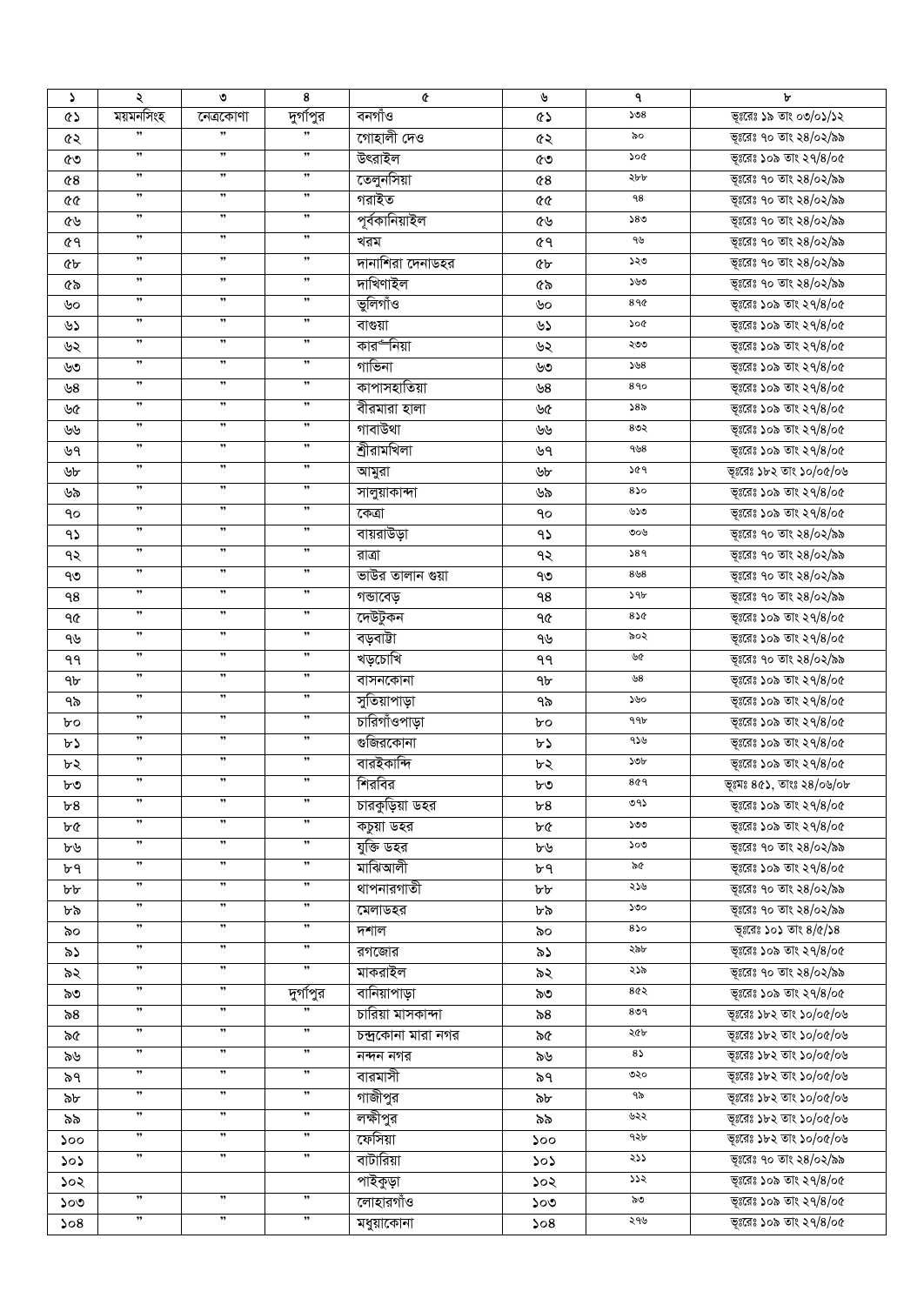| د         | ২                    | ৩                    | 8                    | ¢                   | ৬              | ٩             | ৮                               |
|-----------|----------------------|----------------------|----------------------|---------------------|----------------|---------------|---------------------------------|
| <b>ED</b> | ময়মনসিংহ            | নেত্ৰকোণা            | দুগস্থির             | বনগাঁও              | <b>QS</b>      | 508           | ভূঃরেঃ ১৯ তাং ০৩/০১/১২          |
| ৫২        | ,,                   | $\pmb{\mathfrak{y}}$ | ,,                   | গোহালী দেও          | ৫২             | ৯০            | ভূঃরেঃ ৭০ তাং ২৪/০২/৯৯          |
| ৫৩        | ,                    | ,                    | ,,                   | উৎরাইল              | ৫৩             | ১০৫           | ভূঃরেঃ ১০৯ তাং ২৭/৪/০৫          |
| 68        | $, \,$               | , ,                  | ,                    | তেলুনসিয়া          | $^{\circ}$     | ২৮৮           | ভূঃরেঃ ৭০ তাং ২৪/০২/৯৯          |
| 99        | $\pmb{\mathfrak y}$  | , ,                  | ,,                   | গরাইত               | 66             | 98            | ভূঃরেঃ ৭০ তাং ২৪/০২/৯৯          |
| ৫৬        | $\pmb{\mathfrak{y}}$ | , ,                  | ,                    | পূৰ্বকানিয়াইল      | ৫৬             | 580           | ভূঃরেঃ ৭০ তাং ২৪/০২/৯৯          |
| 69        | ,,                   | ,                    | "                    | খরম                 | <b>৫৭</b>      | ৭৬            | ভূঃরেঃ ৭০ তাং ২৪/০২/৯৯          |
|           | $, \,$               | , ,                  | ,,                   | দানাশিরা দেনাডহর    |                | ১২৩           | ভূঃরেঃ ৭০ তাং ২৪/০২/৯৯          |
| ৫৮        | ,,                   | ,                    | ,,                   | দাখিণাইল            | <b>«</b>       | ১৬৩           | ভূঃরেঃ ৭০ তাং ২৪/০২/৯৯          |
| ৫৯        | ,,                   | ,                    | "                    |                     | ৫৯             | 89¢           |                                 |
| ৬০        | $, \,$               | $, \,$               | ,,                   | ভুলিগাঁও            | ৬০             |               | ভূঃরেঃ ১০৯ তাং ২৭/৪/০৫          |
| ৬১        | $, \,$               | $, \,$               | ,                    | বাগুয়া             | ৬১             | ১০৫           | ভূঃরেঃ ১০৯ তাং ২৭/৪/০৫          |
| ৬২        |                      |                      |                      | কার৺নিয়া           | ৬২             | ২৩৩           | ভূঃরেঃ ১০৯ তাং ২৭/৪/০৫          |
| ৬৩        | ,,                   | ,,                   | ,,                   | গাভিনা              | ৬৩             | 508           | ভূঃরেঃ ১০৯ তাং ২৭/৪/০৫          |
| ৬8        | ,,                   | , ,                  | ,,                   | কাপাসহাতিয়া        | ৬8             | 890           | ভূঃরেঃ ১০৯ তাং ২৭/৪/০৫          |
| ৬৫        | $, \,$               | , ,                  | ,,                   | বীরমারা হালা        | ৬৫             | ১৪৯           | ভূঃরেঃ ১০৯ তাং ২৭/৪/০৫          |
| ৬৬        | $, \,$               | , ,                  | $\pmb{\mathfrak{y}}$ | গাবাউথা             | ৬৬             | $8$ ७२        | ভূঃরেঃ ১০৯ তাং ২৭/৪/০৫          |
| ৬৭        | $\pmb{\mathfrak{H}}$ | $, \,$               | ,,                   | শ্ৰীরামখিলা         | ৬৭             | 958           | ভূঃরেঃ ১০৯ তাং ২৭/৪/০৫          |
| ৬৮        | ,,                   | ,                    | ,,                   | আমুরা               | ৬৮             | ১৫৭           | ভূঃরেঃ ১৮২ তাং ১০/০৫/০৬         |
| ৬৯        | ,,                   | ,                    | ,,                   | সালুয়াকান্দা       | ৬৯             | 850           | ভূঃরেঃ ১০৯ তাং ২৭/৪/০৫          |
| ٩o        | ,,                   | ,                    | ,,                   | কেত্ৰা              | ٩o             | ৬১৩           | ভূঃরেঃ ১০৯ তাং ২৭/৪/০৫          |
| 95        | $, \,$               | , ,                  | ,                    | বায়রাউড়া          | 95             | ৩০৬           | ভূঃরেঃ ৭০ তাং ২৪/০২/৯৯          |
| ৭২        | $\pmb{\mathfrak{H}}$ | , ,                  | ,,                   | রাত্রা              | ৭২             | 589           | ভূঃরেঃ ৭০ তাং ২৪/০২/৯৯          |
| ৭৩        | $\pmb{\mathfrak{y}}$ | , ,                  | ,,                   | ভাউর তালান গুয়া    | ৭৩             | $8\,58$       | ভূঃরেঃ ৭০ তাং ২৪/০২/৯৯          |
| ۹8        | $\pmb{\mathfrak y}$  | , ,                  | $\pmb{\mathfrak{y}}$ | গভাবেড়             | ٩8             | $\mathcal{A}$ | ভূঃরেঃ ৭০ তাং ২৪/০২/৯৯          |
|           | $\pmb{\mathfrak{H}}$ | , ,                  | ,                    | দেউটুকন             |                | 850           | ভূঃরেঃ ১০৯ তাং ২৭/৪/০৫          |
| ৭৫        | $\pmb{\mathfrak{H}}$ | , ,                  | "                    |                     | ৭৫             | ৯০২           |                                 |
| ৭৬        | ,,                   | ,,                   | ,,                   | বড়বাটা             | ৭৬             | ৬৫            | ভূঃরেঃ ১০৯ তাং ২৭/৪/০৫          |
| ۹۹        | $\pmb{\mathfrak{H}}$ | $, \,$               | "                    | খড়চোখি             | ٩٩             |               | ভূঃরেঃ ৭০ তাং ২৪/০২/৯৯          |
| 9b        |                      |                      |                      | বাসনকোনা            | 9 <sub>b</sub> | ৬ $\rm 8$     | ভূঃরেঃ ১০৯ তাং ২৭/৪/০৫          |
| ৭৯        | ,,                   | ,,                   | ,,                   | সুতিয়াপাড়া        | ৭৯             | ১৬০           | ভূঃরেঃ ১০৯ তাং ২৭/৪/০৫          |
| bο        | ,,                   | ,,                   | ,,                   | চারিগাঁওপাড়া       | bο             | 996           | ভূঃরেঃ ১০৯ তাং ২৭/৪/০৫          |
| ৮১        | ,,                   | , ,                  | ,,                   | গুজিরকোনা           | ৮১             | 956           | ভূঃরেঃ ১০৯ তাং ২৭/৪/০৫          |
| ৮২        | ,,                   | , ,                  | ,,                   | বারইকান্দি          | ৮২             | ১৩৮           | ভূঃরেঃ ১০৯ তাং ২৭/৪/০৫          |
| ৮৩        | ,,                   | ,,                   | ,,                   | শিরবির              | ৮৩             | 869           | ভূঃমঃ $8$ ৫১, তাংঃ ২ $8$ /০৬/০৮ |
| ৮৪        | ,,                   | ,,                   | ,,                   | চারকুড়িয়া ডহর     | ৮8             | ৩৭১           | ভূঃরেঃ ১০৯ তাং ২৭/৪/০৫          |
| ৮৫        | ,,                   | ,,                   | ,,                   | কচুয়া ডহর          | ৮৫             | ১৩৩           | ভূঃরেঃ ১০৯ তাং ২৭/৪/০৫          |
| ৮৬        | ,,                   | ,,                   | ,,                   | যুক্তি ডহর          | ৮৬             | ১০৩           | ভূঃরেঃ ৭০ তাং ২৪/০২/৯৯          |
| ৮৭        | ,,                   | ,,                   | ,,                   | মাঝিআলী             | ৮৭             | ৯৫            | ভূঃরেঃ ১০৯ তাং ২৭/৪/০৫          |
| ৮৮        | ,,                   | , ,                  | ,,                   | থাপনারগাতী          | ৮৮             | ২১৬           | ভূঃরেঃ ৭০ তাং ২৪/০২/৯৯          |
| ৮৯        | ,,                   | , ,                  | ,,                   | মেলাডহর             | ৮৯             | ১৩০           | ভূঃরেঃ ৭০ তাং ২৪/০২/৯৯          |
| ৯০        | ,,                   | ,                    | ,,                   | দশাল                | ৯০             | 850           | ভূঃরেঃ ১০১ তাং $8/\alpha/38$    |
| ৯১        | $, \,$               | , ,                  | ,,                   | রগজোর               | ৯১             | ২৯৮           | ভূঃরেঃ ১০৯ তাং ২৭/৪/০৫          |
| ৯২        | $\pmb{\mathfrak{y}}$ | ,                    | ,,                   | মাকরাইল             | ৯২             | ২১৯           | ভূঃরেঃ ৭০ তাং ২৪/০২/৯৯          |
| ৯৩        | $\pmb{\mathfrak{y}}$ | , ,                  | দুর্গাপুর            | বানিয়াপাড়া        | ৯৩             | 8৫২           | ভূঃরেঃ ১০৯ তাং ২৭/৪/০৫          |
|           | ,                    | ,                    | "                    | চারিয়া মাসকান্দা   |                | 809           | ভূঃরেঃ ১৮২ তাং ১০/০৫/০৬         |
| ৯৪        | ,,                   | , ,                  | ,,                   |                     | ৯৪             | ২৫৮           |                                 |
| ৯৫        | $\pmb{\mathfrak{y}}$ | , ,                  | "                    | চন্দ্ৰকোনা মারা নগর | ৯৫             |               | ভূঃরেঃ ১৮২ তাং ১০/০৫/০৬         |
| ৯৬        | ,,                   | , ,                  | "                    | নন্দন নগর           | ৯৬             | $8\lambda$    | ভূঃরেঃ ১৮২ তাং ১০/০৫/০৬         |
| ৯৭        |                      |                      |                      | বারমাসী             | ৯৭             | ৩২০           | ভূঃরেঃ ১৮২ তাং ১০/০৫/০৬         |
| ৯৮        | $\pmb{\mathfrak{y}}$ | ,                    | ,,                   | গাজীপুর             | ৯৮             | ৭৯            | ভূঃরেঃ ১৮২ তাং ১০/০৫/০৬         |
| ৯৯        | ,,                   | ,,                   | "                    | লক্ষীপুর            | ৯৯             | ৬২২           | ভূঃরেঃ ১৮২ তাং ১০/০৫/০৬         |
| ১০০       | ,,                   | ,                    | "                    | ফেসিয়া             | ১০০            | ৭২৮           | ভূঃরেঃ ১৮২ তাং ১০/০৫/০৬         |
| ১০১       | ,,                   | ,                    | ,,                   | বাটারিয়া           | 505            | ২১১           | ভূঃরেঃ ৭০ তাং ২৪/০২/৯৯          |
| ১০২       |                      |                      |                      | পাইকুড়া            | ১০২            | ১১২           | ভূঃরেঃ ১০৯ তাং ২৭/৪/০৫          |
| ১০৩       | $, \,$               | , ,                  | ,,                   | লোহারগাঁও           | ১০৩            | ৯৩            | ভূঃরেঃ ১০৯ তাং ২৭/৪/০৫          |
| 508       | ,,                   | ,,                   | ,,                   | মধুয়াকোনা          | 508            | ২৭৬           | ভূঃরেঃ ১০৯ তাং ২৭/৪/০৫          |
|           |                      |                      |                      |                     |                |               |                                 |